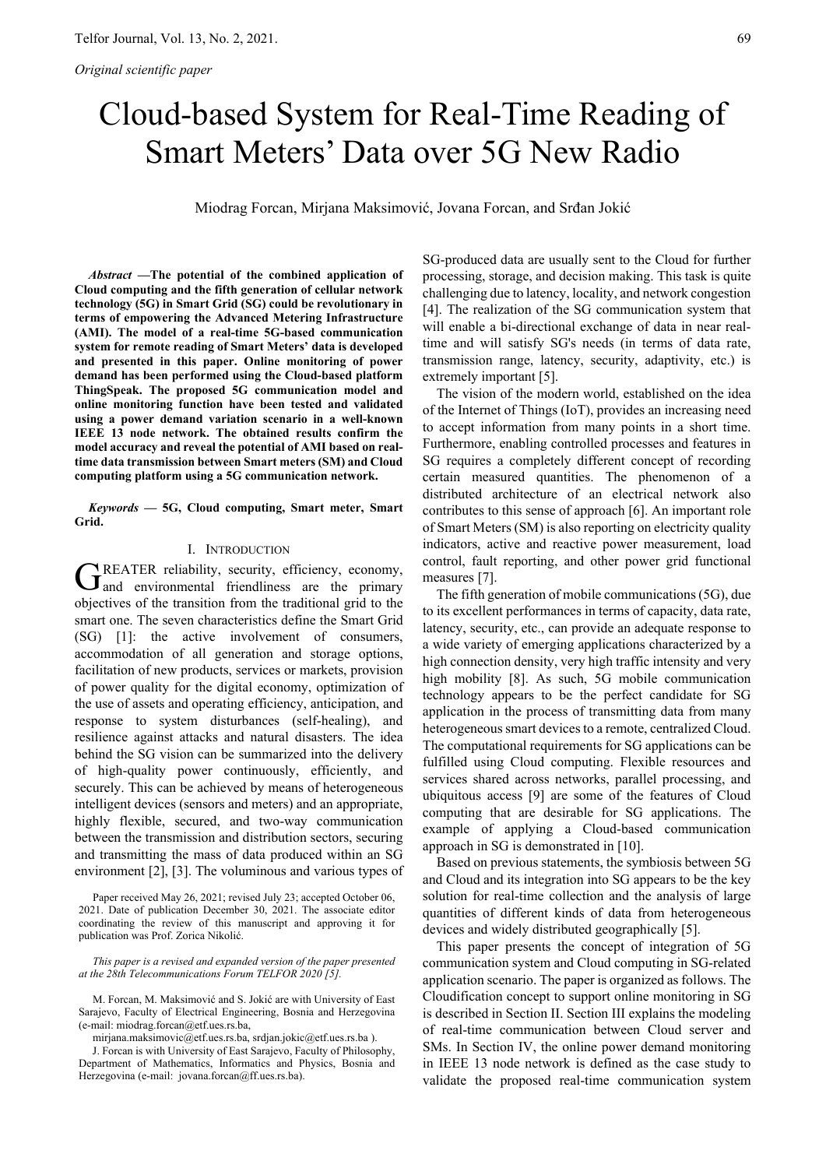# Cloud-based System for Real-Time Reading of Smart Meters' Data over 5G New Radio

Miodrag Forcan, Mirjana Maksimović, Jovana Forcan, and Srđan Jokić

*Abstract* **—The potential of the combined application of Cloud computing and the fifth generation of cellular network technology (5G) in Smart Grid (SG) could be revolutionary in terms of empowering the Advanced Metering Infrastructure (AMI). The model of a real-time 5G-based communication system for remote reading of Smart Meters' data is developed and presented in this paper. Online monitoring of power demand has been performed using the Cloud-based platform ThingSpeak. The proposed 5G communication model and online monitoring function have been tested and validated using a power demand variation scenario in a well-known IEEE 13 node network. The obtained results confirm the model accuracy and reveal the potential of AMI based on realtime data transmission between Smart meters (SM) and Cloud computing platform using a 5G communication network.** 

*Keywords* **— 5G, Cloud computing, Smart meter, Smart Grid.** 

## I. INTRODUCTION

REATER reliability, security, efficiency, economy, GREATER reliability, security, efficiency, economy, and environmental friendliness are the primary objectives of the transition from the traditional grid to the smart one. The seven characteristics define the Smart Grid (SG) [1]: the active involvement of consumers, accommodation of all generation and storage options, facilitation of new products, services or markets, provision of power quality for the digital economy, optimization of the use of assets and operating efficiency, anticipation, and response to system disturbances (self-healing), and resilience against attacks and natural disasters. The idea behind the SG vision can be summarized into the delivery of high-quality power continuously, efficiently, and securely. This can be achieved by means of heterogeneous intelligent devices (sensors and meters) and an appropriate, highly flexible, secured, and two-way communication between the transmission and distribution sectors, securing and transmitting the mass of data produced within an SG environment [2], [3]. The voluminous and various types of

Paper received May 26, 2021; revised July 23; accepted October 06, 2021. Date of publication December 30, 2021. The associate editor coordinating the review of this manuscript and approving it for publication was Prof. Zorica Nikolić.

*This paper is a revised and expanded version of the paper presented at the 28th Telecommunications Forum TELFOR 2020 [5].* 

M. Forcan, M. Maksimović and S. Jokić are with University of East Sarajevo, Faculty of Electrical Engineering, Bosnia and Herzegovina (e-mail: miodrag.forcan@etf.ues.rs.ba,

mirjana.maksimovic@etf.ues.rs.ba, srdjan.jokic@etf.ues.rs.ba ).

J. Forcan is with University of East Sarajevo, Faculty of Philosophy, Department of Mathematics, Informatics and Physics, Bosnia and Herzegovina (e-mail: jovana.forcan@ff.ues.rs.ba).

SG-produced data are usually sent to the Cloud for further processing, storage, and decision making. This task is quite challenging due to latency, locality, and network congestion [4]. The realization of the SG communication system that will enable a bi-directional exchange of data in near realtime and will satisfy SG's needs (in terms of data rate, transmission range, latency, security, adaptivity, etc.) is extremely important [5].

The vision of the modern world, established on the idea of the Internet of Things (IoT), provides an increasing need to accept information from many points in a short time. Furthermore, enabling controlled processes and features in SG requires a completely different concept of recording certain measured quantities. The phenomenon of a distributed architecture of an electrical network also contributes to this sense of approach [6]. An important role of Smart Meters (SM) is also reporting on electricity quality indicators, active and reactive power measurement, load control, fault reporting, and other power grid functional measures [7].

The fifth generation of mobile communications (5G), due to its excellent performances in terms of capacity, data rate, latency, security, etc., can provide an adequate response to a wide variety of emerging applications characterized by a high connection density, very high traffic intensity and very high mobility [8]. As such, 5G mobile communication technology appears to be the perfect candidate for SG application in the process of transmitting data from many heterogeneous smart devices to a remote, centralized Cloud. The computational requirements for SG applications can be fulfilled using Cloud computing. Flexible resources and services shared across networks, parallel processing, and ubiquitous access [9] are some of the features of Cloud computing that are desirable for SG applications. The example of applying a Cloud-based communication approach in SG is demonstrated in [10].

Based on previous statements, the symbiosis between 5G and Cloud and its integration into SG appears to be the key solution for real-time collection and the analysis of large quantities of different kinds of data from heterogeneous devices and widely distributed geographically [5].

This paper presents the concept of integration of 5G communication system and Cloud computing in SG-related application scenario. The paper is organized as follows. The Cloudification concept to support online monitoring in SG is described in Section II. Section III explains the modeling of real-time communication between Cloud server and SMs. In Section IV, the online power demand monitoring in IEEE 13 node network is defined as the case study to validate the proposed real-time communication system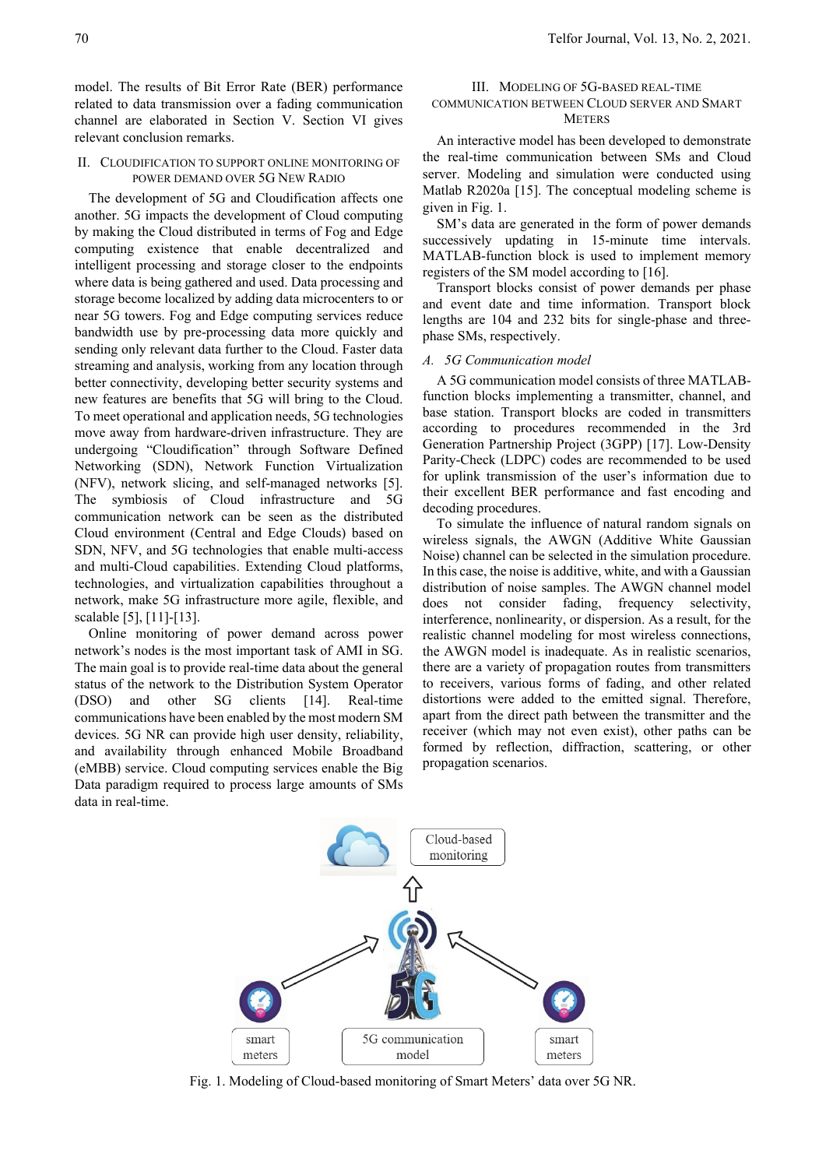model. The results of Bit Error Rate (BER) performance related to data transmission over a fading communication channel are elaborated in Section V. Section VI gives relevant conclusion remarks.

### II. CLOUDIFICATION TO SUPPORT ONLINE MONITORING OF POWER DEMAND OVER 5G NEW RADIO

The development of 5G and Cloudification affects one another. 5G impacts the development of Cloud computing by making the Cloud distributed in terms of Fog and Edge computing existence that enable decentralized and intelligent processing and storage closer to the endpoints where data is being gathered and used. Data processing and storage become localized by adding data microcenters to or near 5G towers. Fog and Edge computing services reduce bandwidth use by pre-processing data more quickly and sending only relevant data further to the Cloud. Faster data streaming and analysis, working from any location through better connectivity, developing better security systems and new features are benefits that 5G will bring to the Cloud. To meet operational and application needs, 5G technologies move away from hardware-driven infrastructure. They are undergoing "Cloudification" through Software Defined Networking (SDN), Network Function Virtualization (NFV), network slicing, and self-managed networks [5]. The symbiosis of Cloud infrastructure and 5G communication network can be seen as the distributed Cloud environment (Central and Edge Clouds) based on SDN, NFV, and 5G technologies that enable multi-access and multi-Cloud capabilities. Extending Cloud platforms, technologies, and virtualization capabilities throughout a network, make 5G infrastructure more agile, flexible, and scalable [5], [11]-[13].

Online monitoring of power demand across power network's nodes is the most important task of AMI in SG. The main goal is to provide real-time data about the general status of the network to the Distribution System Operator (DSO) and other SG clients [14]. Real-time communications have been enabled by the most modern SM devices. 5G NR can provide high user density, reliability, and availability through enhanced Mobile Broadband (eMBB) service. Cloud computing services enable the Big Data paradigm required to process large amounts of SMs data in real-time.

# III. MODELING OF 5G-BASED REAL-TIME COMMUNICATION BETWEEN CLOUD SERVER AND SMART **METERS**

An interactive model has been developed to demonstrate the real-time communication between SMs and Cloud server. Modeling and simulation were conducted using Matlab R2020a [15]. The conceptual modeling scheme is given in Fig. 1.

SM's data are generated in the form of power demands successively updating in 15-minute time intervals. MATLAB-function block is used to implement memory registers of the SM model according to [16].

Transport blocks consist of power demands per phase and event date and time information. Transport block lengths are 104 and 232 bits for single-phase and threephase SMs, respectively.

#### *A. 5G Communication model*

A 5G communication model consists of three MATLABfunction blocks implementing a transmitter, channel, and base station. Transport blocks are coded in transmitters according to procedures recommended in the 3rd Generation Partnership Project (3GPP) [17]. Low-Density Parity-Check (LDPC) codes are recommended to be used for uplink transmission of the user's information due to their excellent BER performance and fast encoding and decoding procedures.

To simulate the influence of natural random signals on wireless signals, the AWGN (Additive White Gaussian Noise) channel can be selected in the simulation procedure. In this case, the noise is additive, white, and with a Gaussian distribution of noise samples. The AWGN channel model does not consider fading, frequency selectivity, interference, nonlinearity, or dispersion. As a result, for the realistic channel modeling for most wireless connections, the AWGN model is inadequate. As in realistic scenarios, there are a variety of propagation routes from transmitters to receivers, various forms of fading, and other related distortions were added to the emitted signal. Therefore, apart from the direct path between the transmitter and the receiver (which may not even exist), other paths can be formed by reflection, diffraction, scattering, or other propagation scenarios.

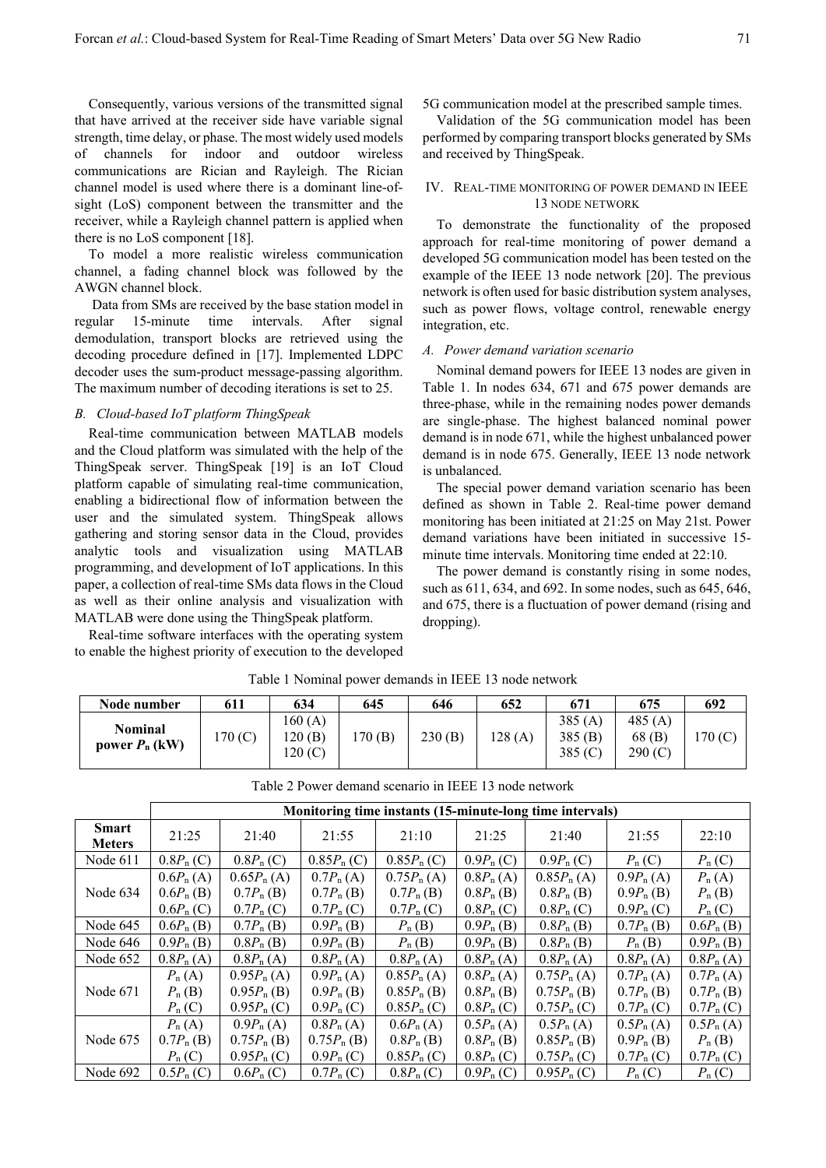Consequently, various versions of the transmitted signal that have arrived at the receiver side have variable signal strength, time delay, or phase. The most widely used models of channels for indoor and outdoor wireless communications are Rician and Rayleigh. The Rician channel model is used where there is a dominant line-ofsight (LoS) component between the transmitter and the receiver, while a Rayleigh channel pattern is applied when there is no LoS component [18].

To model a more realistic wireless communication channel, a fading channel block was followed by the AWGN channel block.

 Data from SMs are received by the base station model in regular 15-minute time intervals. After signal demodulation, transport blocks are retrieved using the decoding procedure defined in [17]. Implemented LDPC decoder uses the sum-product message-passing algorithm. The maximum number of decoding iterations is set to 25.

#### *B. Cloud-based IoT platform ThingSpeak*

Real-time communication between MATLAB models and the Cloud platform was simulated with the help of the ThingSpeak server. ThingSpeak [19] is an IoT Cloud platform capable of simulating real-time communication, enabling a bidirectional flow of information between the user and the simulated system. ThingSpeak allows gathering and storing sensor data in the Cloud, provides analytic tools and visualization using MATLAB programming, and development of IoT applications. In this paper, a collection of real-time SMs data flows in the Cloud as well as their online analysis and visualization with MATLAB were done using the ThingSpeak platform.

Real-time software interfaces with the operating system to enable the highest priority of execution to the developed 5G communication model at the prescribed sample times.

Validation of the 5G communication model has been performed by comparing transport blocks generated by SMs and received by ThingSpeak.

#### IV. REAL-TIME MONITORING OF POWER DEMAND IN IEEE 13 NODE NETWORK

To demonstrate the functionality of the proposed approach for real-time monitoring of power demand a developed 5G communication model has been tested on the example of the IEEE 13 node network [20]. The previous network is often used for basic distribution system analyses, such as power flows, voltage control, renewable energy integration, etc.

#### *A. Power demand variation scenario*

Nominal demand powers for IEEE 13 nodes are given in Table 1. In nodes 634, 671 and 675 power demands are three-phase, while in the remaining nodes power demands are single-phase. The highest balanced nominal power demand is in node 671, while the highest unbalanced power demand is in node 675. Generally, IEEE 13 node network is unbalanced.

The special power demand variation scenario has been defined as shown in Table 2. Real-time power demand monitoring has been initiated at 21:25 on May 21st. Power demand variations have been initiated in successive 15 minute time intervals. Monitoring time ended at 22:10.

The power demand is constantly rising in some nodes, such as 611, 634, and 692. In some nodes, such as 645, 646, and 675, there is a fluctuation of power demand (rising and dropping).

| Node number                 | 611     | 634                         | 645    | 646    | 652    | 671                           | 675                          | 692    |
|-----------------------------|---------|-----------------------------|--------|--------|--------|-------------------------------|------------------------------|--------|
| Nominal<br>power $P_n$ (kW) | 170 (C) | 160(A)<br>120(B)<br>120 (C) | .70(B) | 230(B) | 128(A) | 385(A)<br>385(B)<br>385 $(C)$ | 485 $(A)$<br>68(B)<br>290(C) | 170(C) |

Table 1 Nominal power demands in IEEE 13 node network

|                               | Monitoring time instants (15-minute-long time intervals) |                                                          |                                                    |                                                            |                                                           |                                                          |                                                      |                                                |  |  |  |
|-------------------------------|----------------------------------------------------------|----------------------------------------------------------|----------------------------------------------------|------------------------------------------------------------|-----------------------------------------------------------|----------------------------------------------------------|------------------------------------------------------|------------------------------------------------|--|--|--|
| <b>Smart</b><br><b>Meters</b> | 21:25                                                    | 21:40                                                    | 21:55                                              | 21:10                                                      | 21:25                                                     | 21:40                                                    | 21:55                                                | 22:10                                          |  |  |  |
| Node 611                      | $0.8P_{\rm n}$ (C)                                       | $0.8P_{\rm n}$ (C)                                       | $0.85P_{\rm n}$ (C)                                | $0.85P_n(C)$                                               | $0.9P_n(C)$                                               | $0.9P_n(C)$                                              | $P_n(C)$                                             | $P_n(C)$                                       |  |  |  |
|                               | $0.6P_{\rm n}$ (A)                                       | $0.65P_{n}(A)$                                           | $0.7P_{n}(A)$                                      | $0.75P_{n}(A)$                                             | $0.8P_{n}(A)$                                             | $0.85P_{n}(A)$                                           | $0.9P_{n}(A)$                                        | $P_n(A)$                                       |  |  |  |
| Node 634                      | $0.6P_{\rm n}$ (B)<br>$0.6P_n(C)$                        | $0.7P_{n}(B)$<br>$0.7P_{n}(C)$                           | $0.7P_{n}$ (B)<br>$0.7P_{n}(C)$                    | $0.7P_{n}(B)$<br>$0.7P_{n}(C)$                             | $0.8P_{n}$ (B)<br>$0.8P_n(C)$                             | $0.8P_{n}$ (B)<br>$0.8P_{\rm n}$ (C)                     | $0.9P_n$ (B)<br>$0.9P_n(C)$                          | $P_n(B)$<br>$P_n(C)$                           |  |  |  |
| Node 645                      | $0.6P_{\rm n}$ (B)                                       | $0.7P_{\rm n}$ (B)                                       | $0.9P_{n}(B)$                                      | $P_n(B)$                                                   | $0.9P_{n}$ (B)                                            | $0.8P_{\rm n}$ (B)                                       | $0.7P_{n}$ (B)                                       | $0.6P_{\rm n}$ (B)                             |  |  |  |
| Node 646                      | $0.9P_{n}$ (B)                                           | $0.8P_{\rm n}$ (B)                                       | $0.9P_{\rm n}$ (B)                                 | $P_n(B)$                                                   | $0.9P_{\rm n}$ (B)                                        | $0.8P_{\rm n}$ (B)                                       | $P_n(B)$                                             | $0.9P_{\rm n}$ (B)                             |  |  |  |
| Node 652                      | $0.8P_{n}(A)$                                            | $0.8P_n(A)$                                              | $0.8P_{n}(A)$                                      | $0.8P_{\rm n}(A)$                                          | $0.8P_{n}(A)$                                             | $0.8P_{n}(A)$                                            | $0.8P_{n}(A)$                                        | $0.8P_{\rm n}(A)$                              |  |  |  |
| Node 671                      | $P_n(A)$<br>$P_n(B)$<br>$P_n(C)$                         | $0.95P_{n}(A)$<br>$0.95P_{n}$ (B)<br>$0.95P_{\rm n}$ (C) | $0.9P_{n}(A)$<br>$0.9P_{\rm n}$ (B)<br>$0.9P_n(C)$ | $0.85P_{n}(A)$<br>$0.85P_{n}$ (B)<br>$0.85P_{n}(C)$        | $0.8P_{n}(A)$<br>$0.8P_{\rm n}$ (B)<br>$0.8P_{\rm n}$ (C) | $0.75P_{n}(A)$<br>$0.75P_{n}$ (B)<br>$0.75P_{\rm n}$ (C) | $0.7P_{n}(A)$<br>$0.7P_{n}(B)$<br>$0.7P_{n}(C)$      | $0.7P_{n}(A)$<br>$0.7P_n$ (B)<br>$0.7P_{n}(C)$ |  |  |  |
| Node 675                      | $P_n(A)$<br>$0.7P_{n}$ (B)<br>$P_n(C)$                   | $0.9P_{n}(A)$<br>$0.75P_{n}$ (B)<br>$0.95P_{\rm n}$ (C)  | $0.8P_{n}(A)$<br>$0.75P_{n}$ (B)<br>$0.9P_n(C)$    | $0.6P_{\rm n}$ (A)<br>$0.8P_{\rm n}$ (B)<br>$0.85P_{n}(C)$ | $0.5P_{n}(A)$<br>$0.8P_{\rm n}$ (B)<br>$0.8P_{\rm n}$ (C) | $0.5P_{n}(A)$<br>$0.85P_{n}$ (B)<br>$0.75P_{\rm n}$ (C)  | $0.5P_{n}(A)$<br>$0.9P_{\rm n}$ (B)<br>$0.7P_{n}(C)$ | $0.5P_{n}(A)$<br>$P_n$ (B)<br>$0.7P_{n}(C)$    |  |  |  |
| Node 692                      | $0.5P_{n}(C)$                                            | $0.6P_n(C)$                                              | $0.7P_{n}(C)$                                      | $0.8P_{\rm n}(C)$                                          | $0.9P_n(C)$                                               | $0.95P_{\rm n}$ (C)                                      | $P_n(C)$                                             | $P_n(C)$                                       |  |  |  |

Table 2 Power demand scenario in IEEE 13 node network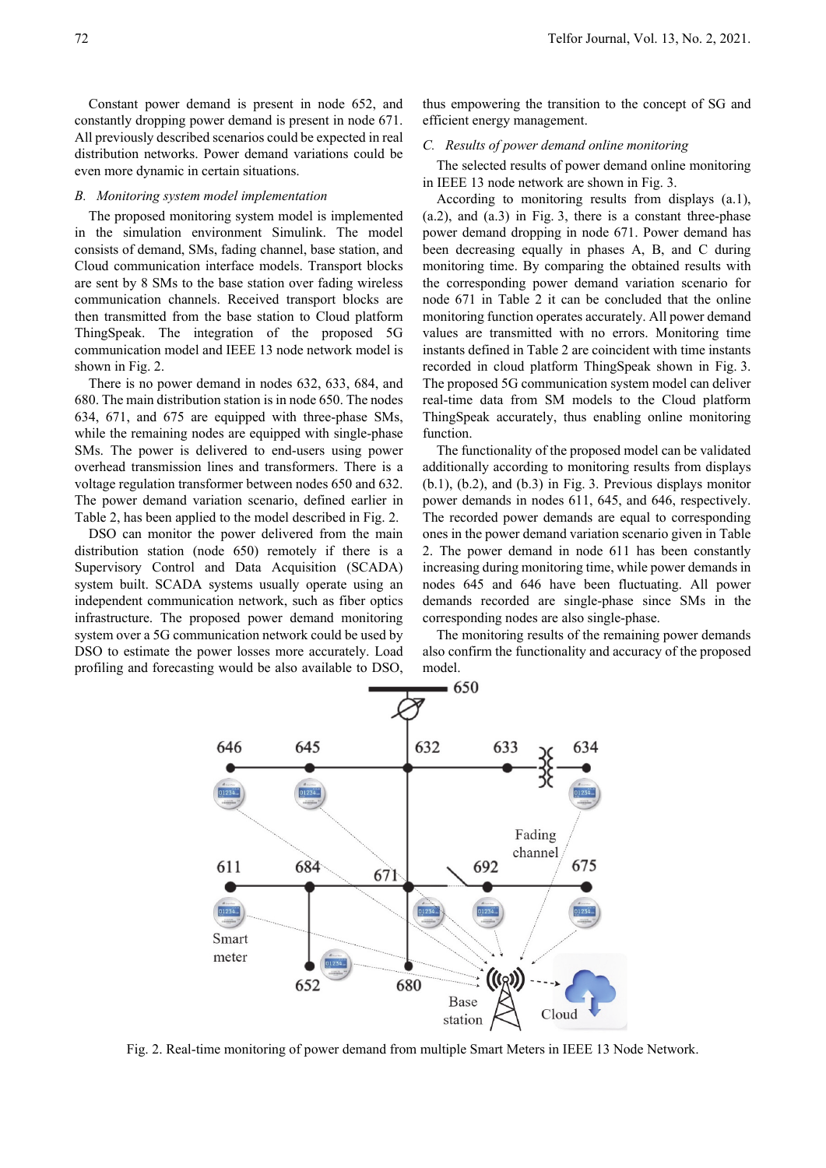Constant power demand is present in node 652, and constantly dropping power demand is present in node 671. All previously described scenarios could be expected in real distribution networks. Power demand variations could be even more dynamic in certain situations.

#### *B. Monitoring system model implementation*

The proposed monitoring system model is implemented in the simulation environment Simulink. The model consists of demand, SMs, fading channel, base station, and Cloud communication interface models. Transport blocks are sent by 8 SMs to the base station over fading wireless communication channels. Received transport blocks are then transmitted from the base station to Cloud platform ThingSpeak. The integration of the proposed 5G communication model and IEEE 13 node network model is shown in Fig. 2.

There is no power demand in nodes 632, 633, 684, and 680. The main distribution station is in node 650. The nodes 634, 671, and 675 are equipped with three-phase SMs, while the remaining nodes are equipped with single-phase SMs. The power is delivered to end-users using power overhead transmission lines and transformers. There is a voltage regulation transformer between nodes 650 and 632. The power demand variation scenario, defined earlier in Table 2, has been applied to the model described in Fig. 2.

DSO can monitor the power delivered from the main distribution station (node 650) remotely if there is a Supervisory Control and Data Acquisition (SCADA) system built. SCADA systems usually operate using an independent communication network, such as fiber optics infrastructure. The proposed power demand monitoring system over a 5G communication network could be used by DSO to estimate the power losses more accurately. Load profiling and forecasting would be also available to DSO,

thus empowering the transition to the concept of SG and efficient energy management.

#### *C. Results of power demand online monitoring*

The selected results of power demand online monitoring in IEEE 13 node network are shown in Fig. 3.

According to monitoring results from displays (a.1), (a.2), and (a.3) in Fig. 3, there is a constant three-phase power demand dropping in node 671. Power demand has been decreasing equally in phases A, B, and C during monitoring time. By comparing the obtained results with the corresponding power demand variation scenario for node 671 in Table 2 it can be concluded that the online monitoring function operates accurately. All power demand values are transmitted with no errors. Monitoring time instants defined in Table 2 are coincident with time instants recorded in cloud platform ThingSpeak shown in Fig. 3. The proposed 5G communication system model can deliver real-time data from SM models to the Cloud platform ThingSpeak accurately, thus enabling online monitoring function.

The functionality of the proposed model can be validated additionally according to monitoring results from displays (b.1), (b.2), and (b.3) in Fig. 3. Previous displays monitor power demands in nodes 611, 645, and 646, respectively. The recorded power demands are equal to corresponding ones in the power demand variation scenario given in Table 2. The power demand in node 611 has been constantly increasing during monitoring time, while power demands in nodes 645 and 646 have been fluctuating. All power demands recorded are single-phase since SMs in the corresponding nodes are also single-phase.

The monitoring results of the remaining power demands also confirm the functionality and accuracy of the proposed model.



Fig. 2. Real-time monitoring of power demand from multiple Smart Meters in IEEE 13 Node Network.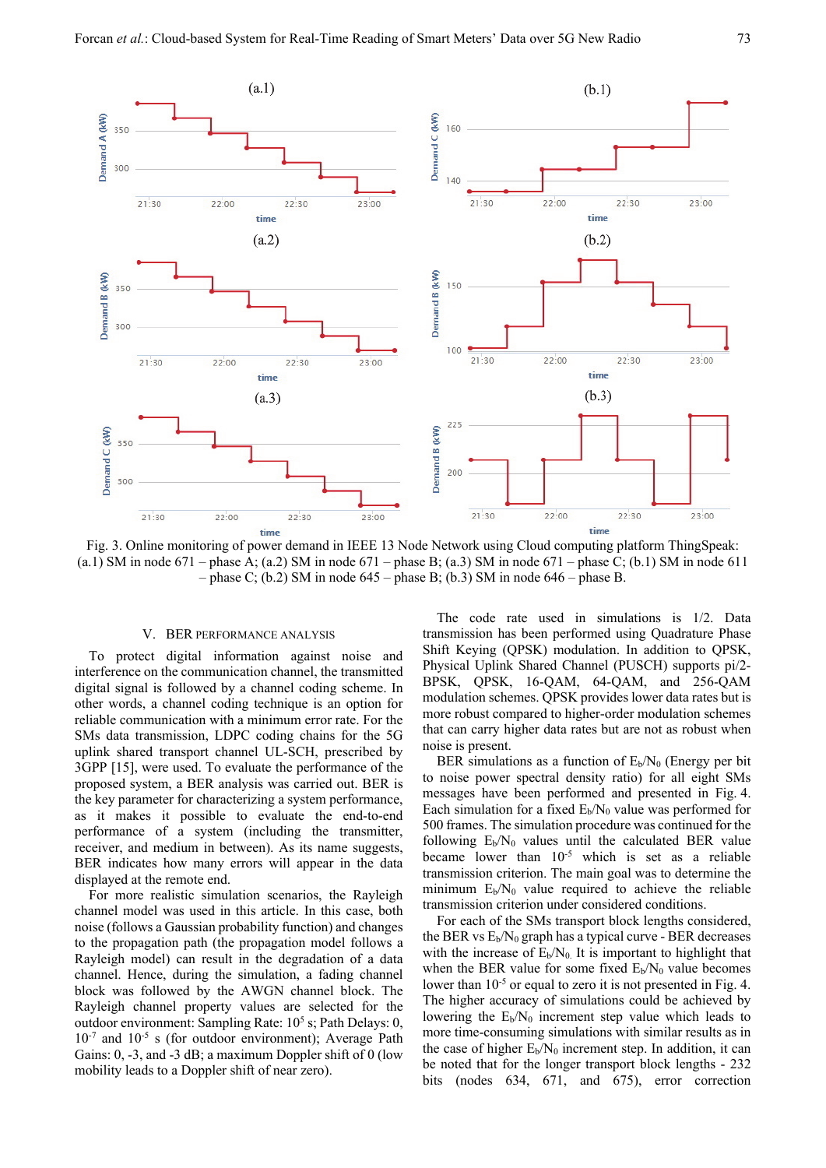

Fig. 3. Online monitoring of power demand in IEEE 13 Node Network using Cloud computing platform ThingSpeak: (a.1) SM in node 671 – phase A; (a.2) SM in node 671 – phase B; (a.3) SM in node 671 – phase C; (b.1) SM in node 611 – phase C; (b.2) SM in node  $645$  – phase B; (b.3) SM in node  $646$  – phase B.

### V. BER PERFORMANCE ANALYSIS

To protect digital information against noise and interference on the communication channel, the transmitted digital signal is followed by a channel coding scheme. In other words, a channel coding technique is an option for reliable communication with a minimum error rate. For the SMs data transmission, LDPC coding chains for the 5G uplink shared transport channel UL-SCH, prescribed by 3GPP [15], were used. To evaluate the performance of the proposed system, a BER analysis was carried out. BER is the key parameter for characterizing a system performance, as it makes it possible to evaluate the end-to-end performance of a system (including the transmitter, receiver, and medium in between). As its name suggests, BER indicates how many errors will appear in the data displayed at the remote end.

For more realistic simulation scenarios, the Rayleigh channel model was used in this article. In this case, both noise (follows a Gaussian probability function) and changes to the propagation path (the propagation model follows a Rayleigh model) can result in the degradation of a data channel. Hence, during the simulation, a fading channel block was followed by the AWGN channel block. The Rayleigh channel property values are selected for the outdoor environment: Sampling Rate:  $10^5$  s; Path Delays: 0,  $10^{-7}$  and  $10^{-5}$  s (for outdoor environment); Average Path Gains: 0, -3, and -3 dB; a maximum Doppler shift of 0 (low mobility leads to a Doppler shift of near zero).

The code rate used in simulations is 1/2. Data transmission has been performed using Quadrature Phase Shift Keying (QPSK) modulation. In addition to QPSK, Physical Uplink Shared Channel (PUSCH) supports pi/2- BPSK, QPSK, 16-QAM, 64-QAM, and 256-QAM modulation schemes. QPSK provides lower data rates but is more robust compared to higher-order modulation schemes that can carry higher data rates but are not as robust when noise is present.

BER simulations as a function of  $E_b/N_0$  (Energy per bit to noise power spectral density ratio) for all eight SMs messages have been performed and presented in Fig. 4. Each simulation for a fixed  $E_b/N_0$  value was performed for 500 frames. The simulation procedure was continued for the following  $E_b/N_0$  values until the calculated BER value became lower than 10-5 which is set as a reliable transmission criterion. The main goal was to determine the minimum  $E_b/N_0$  value required to achieve the reliable transmission criterion under considered conditions.

For each of the SMs transport block lengths considered, the BER vs  $E_b/N_0$  graph has a typical curve - BER decreases with the increase of  $E_b/N_0$ . It is important to highlight that when the BER value for some fixed  $E_b/N_0$  value becomes lower than  $10^{-5}$  or equal to zero it is not presented in Fig. 4. The higher accuracy of simulations could be achieved by lowering the  $E_b/N_0$  increment step value which leads to more time-consuming simulations with similar results as in the case of higher  $E_b/N_0$  increment step. In addition, it can be noted that for the longer transport block lengths - 232 bits (nodes 634, 671, and 675), error correction